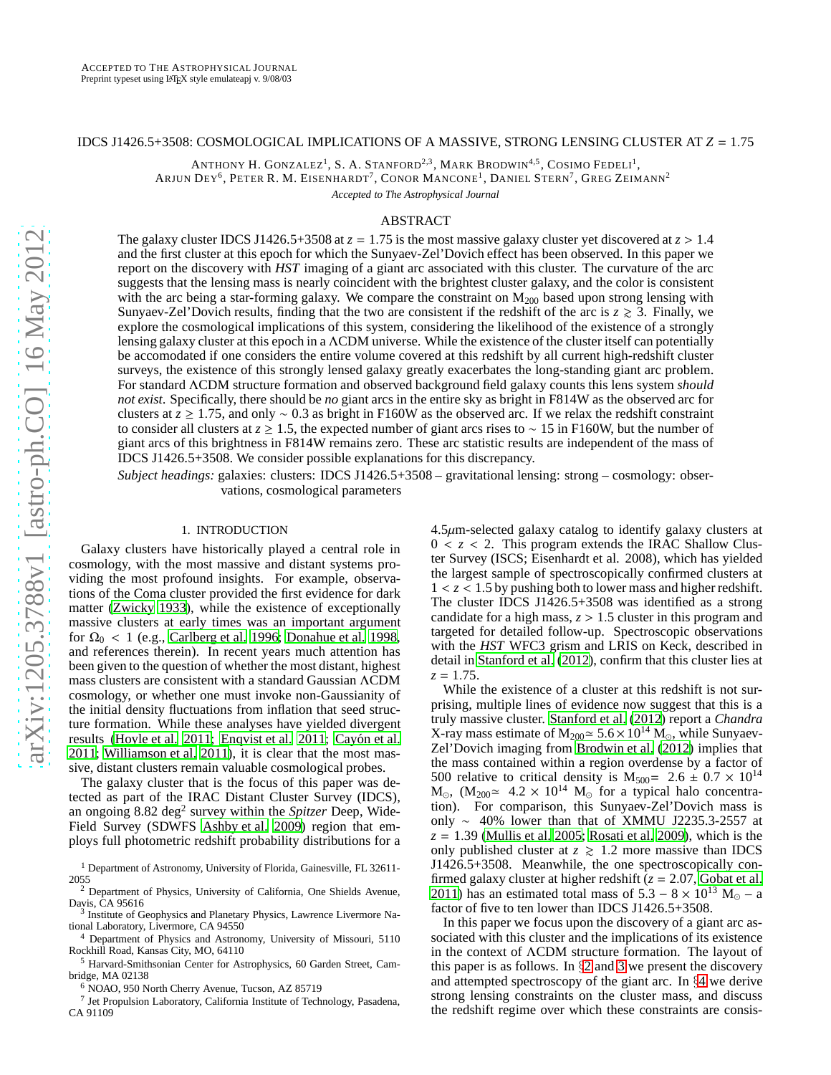# IDCS J1426.5+3508: COSMOLOGICAL IMPLICATIONS OF A MASSIVE, STRONG LENSING CLUSTER AT *Z* = 1.75

ANTHONY H. GONZALEZ<sup>1</sup>, S. A. STANFORD<sup>2,3</sup>, MARK BRODWIN<sup>4,5</sup>, COSIMO FEDELI<sup>1</sup>,

Arjun Dey<sup>6</sup>, Peter R. M. Eisenhardt<sup>7</sup>, Conor Mancone<sup>1</sup>, Daniel Stern<sup>7</sup>, Greg Zeimann<sup>2</sup>

*Accepted to The Astrophysical Journal*

# ABSTRACT

The galaxy cluster IDCS J1426.5+3508 at  $z = 1.75$  is the most massive galaxy cluster yet discovered at  $z > 1.4$ and the first cluster at this epoch for which the Sunyaev-Zel'Dovich effect has been observed. In this paper we report on the discovery with *HST* imaging of a giant arc associated with this cluster. The curvature of the arc suggests that the lensing mass is nearly coincident with the brightest cluster galaxy, and the color is consistent with the arc being a star-forming galaxy. We compare the constraint on  $M_{200}$  based upon strong lensing with Sunyaev-Zel'Dovich results, finding that the two are consistent if the redshift of the arc is  $z \ge 3$ . Finally, we explore the cosmological implications of this system, considering the likelihood of the existence of a strongly lensing galaxy cluster at this epoch in a ΛCDM universe. While the existence of the cluster itself can potentially be accomodated if one considers the entire volume covered at this redshift by all current high-redshift cluster surveys, the existence of this strongly lensed galaxy greatly exacerbates the long-standing giant arc problem. For standard ΛCDM structure formation and observed background field galaxy counts this lens system *should not exist*. Specifically, there should be *no* giant arcs in the entire sky as bright in F814W as the observed arc for clusters at *z* ≥ 1.75, and only ∼ 0.3 as bright in F160W as the observed arc. If we relax the redshift constraint to consider all clusters at *z* ≥ 1.5, the expected number of giant arcs rises to ∼ 15 in F160W, but the number of giant arcs of this brightness in F814W remains zero. These arc statistic results are independent of the mass of IDCS J1426.5+3508. We consider possible explanations for this discrepancy.

*Subject headings:* galaxies: clusters: IDCS J1426.5+3508 – gravitational lensing: strong – cosmology: observations, cosmological parameters

# 1. INTRODUCTION

Galaxy clusters have historically played a central role in cosmology, with the most massive and distant systems providing the most profound insights. For example, observations of the Coma cluster provided the first evidence for dark matter [\(Zwicky 1933](#page-6-0)), while the existence of exceptionally massive clusters at early times was an important argument for  $\Omega_0 < 1$  (e.g., [Carlberg et al. 1996](#page-6-1); [Donahue et al. 1998,](#page-6-2) and references therein). In recent years much attention has been given to the question of whether the most distant, highest mass clusters are consistent with a standard Gaussian ΛCDM cosmology, or whether one must invoke non-Gaussianity of the initial density fluctuations from inflation that seed structure formation. While these analyses have yielded divergent results [\(Hoyle et al. 2011;](#page-6-3) [Enqvist et al. 2011;](#page-6-4) Cayón et al. [2011;](#page-6-5) [Williamson et al. 2011\)](#page-6-6), it is clear that the most massive, distant clusters remain valuable cosmological probes.

The galaxy cluster that is the focus of this paper was detected as part of the IRAC Distant Cluster Survey (IDCS), an ongoing 8.82 deg<sup>2</sup> survey within the *Spitzer* Deep, Wide-Field Survey (SDWFS [Ashby et al. 2009\)](#page-5-0) region that employs full photometric redshift probability distributions for a  $4.5\mu$ m-selected galaxy catalog to identify galaxy clusters at  $0 < z < 2$ . This program extends the IRAC Shallow Cluster Survey (ISCS; Eisenhardt et al. 2008), which has yielded the largest sample of spectroscopically confirmed clusters at  $1 < z < 1.5$  by pushing both to lower mass and higher redshift. The cluster IDCS J1426.5+3508 was identified as a strong candidate for a high mass,  $z > 1.5$  cluster in this program and targeted for detailed follow-up. Spectroscopic observations with the *HST* WFC3 grism and LRIS on Keck, described in detail in [Stanford et al. \(2012](#page-6-7)), confirm that this cluster lies at  $z = 1.75$ .

While the existence of a cluster at this redshift is not surprising, multiple lines of evidence now suggest that this is a truly massive cluster. [Stanford et al. \(2012\)](#page-6-7) report a *Chandra* X-ray mass estimate of  $M_{200} \approx 5.6 \times 10^{14}$  M<sub>☉</sub>, while Sunyaev-Zel'Dovich imaging from [Brodwin et al. \(2012\)](#page-5-1) implies that the mass contained within a region overdense by a factor of 500 relative to critical density is  $M_{500}$  = 2.6  $\pm$  0.7  $\times$  10<sup>14</sup>  $M_{\odot}$ ,  $(M_{200} \simeq 4.2 \times 10^{14} \text{ M}_{\odot}$  for a typical halo concentration). For comparison, this Sunyaev-Zel'Dovich mass is only ∼ 40% lower than that of XMMU J2235.3-2557 at *z* = 1.39 [\(Mullis et al. 2005;](#page-6-8) [Rosati et al. 2009\)](#page-6-9), which is the only published cluster at  $z \ge 1.2$  more massive than IDCS J1426.5+3508. Meanwhile, the one spectroscopically confirmed galaxy cluster at higher redshift (*z* = 2.07, [Gobat et al.](#page-6-10) [2011\)](#page-6-10) has an estimated total mass of  $5.3 - 8 \times 10^{13}$  M<sub>o</sub> – a factor of five to ten lower than IDCS J1426.5+3508.

In this paper we focus upon the discovery of a giant arc associated with this cluster and the implications of its existence in the context of ΛCDM structure formation. The layout of this paper is as follows. In  $\S$ [2](#page-1-0) and [3](#page-1-1) we present the discovery and attempted spectroscopy of the giant arc. In §[4](#page-2-0) we derive strong lensing constraints on the cluster mass, and discuss the redshift regime over which these constraints are consis-

<sup>1</sup> Department of Astronomy, University of Florida, Gainesville, FL 32611-

<sup>2055</sup> <sup>2</sup> Department of Physics, University of California, One Shields Avenue, Davis, CA 95616

Institute of Geophysics and Planetary Physics, Lawrence Livermore National Laboratory, Livermore, CA 94550

<sup>4</sup> Department of Physics and Astronomy, University of Missouri, 5110 Rockhill Road, Kansas City, MO, 64110

<sup>5</sup> Harvard-Smithsonian Center for Astrophysics, 60 Garden Street, Cambridge, MA 02138

<sup>6</sup> NOAO, 950 North Cherry Avenue, Tucson, AZ 85719

<sup>&</sup>lt;sup>7</sup> Jet Propulsion Laboratory, California Institute of Technology, Pasadena, CA 91109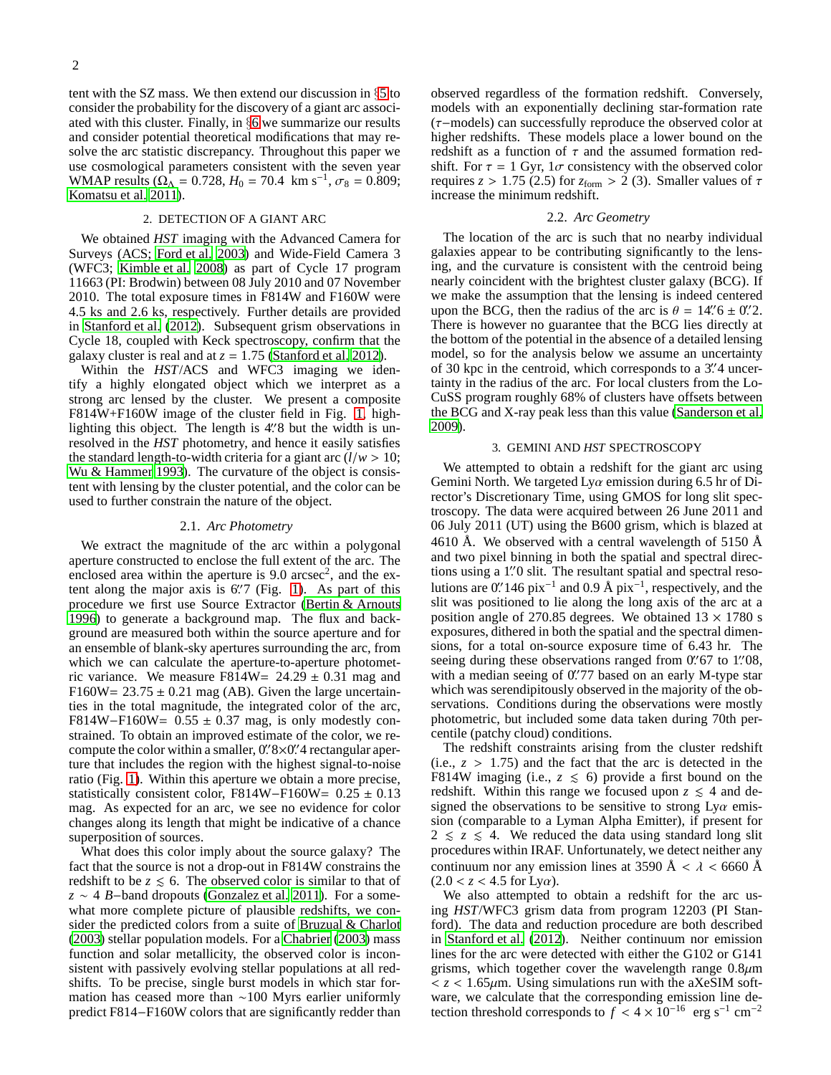tent with the SZ mass. We then extend our discussion in §[5](#page-3-0) to consider the probability for the discovery of a giant arc associated with this cluster. Finally, in §[6](#page-5-2) we summarize our results and consider potential theoretical modifications that may resolve the arc statistic discrepancy. Throughout this paper we use cosmological parameters consistent with the seven year WMAP results ( $\Omega_A = 0.728$ ,  $H_0 = 70.4$  km s<sup>-1</sup>,  $\sigma_8 = 0.809$ ; [Komatsu et al. 2011\)](#page-6-11).

# 2. DETECTION OF A GIANT ARC

<span id="page-1-0"></span>We obtained *HST* imaging with the Advanced Camera for Surveys (ACS; [Ford et al. 2003](#page-6-12)) and Wide-Field Camera 3 (WFC3; [Kimble et al. 2008\)](#page-6-13) as part of Cycle 17 program 11663 (PI: Brodwin) between 08 July 2010 and 07 November 2010. The total exposure times in F814W and F160W were 4.5 ks and 2.6 ks, respectively. Further details are provided in [Stanford et al. \(2012](#page-6-7)). Subsequent grism observations in Cycle 18, coupled with Keck spectroscopy, confirm that the galaxy cluster is real and at  $z = 1.75$  [\(Stanford et al. 2012\)](#page-6-7).

Within the *HST*/ACS and WFC3 imaging we identify a highly elongated object which we interpret as a strong arc lensed by the cluster. We present a composite F814W+F160W image of the cluster field in Fig. [1,](#page-2-1) highlighting this object. The length is 4"8 but the width is unresolved in the *HST* photometry, and hence it easily satisfies the standard length-to-width criteria for a giant arc  $(l/w > 10)$ ; [Wu & Hammer 1993\)](#page-6-14). The curvature of the object is consistent with lensing by the cluster potential, and the color can be used to further constrain the nature of the object.

#### 2.1. *Arc Photometry*

We extract the magnitude of the arc within a polygonal aperture constructed to enclose the full extent of the arc. The enclosed area within the aperture is  $9.0$  arcsec<sup>2</sup>, and the extent along the major axis is  $6\rlap{.}^{\prime\prime}7$  (Fig. [1\)](#page-2-1). As part of this procedure we first use Source Extractor [\(Bertin & Arnouts](#page-5-3) [1996\)](#page-5-3) to generate a background map. The flux and background are measured both within the source aperture and for an ensemble of blank-sky apertures surrounding the arc, from which we can calculate the aperture-to-aperture photometric variance. We measure F814W=  $24.29 \pm 0.31$  mag and F160W=  $23.75 \pm 0.21$  mag (AB). Given the large uncertainties in the total magnitude, the integrated color of the arc, F814W–F160W=  $0.55 \pm 0.37$  mag, is only modestly constrained. To obtain an improved estimate of the color, we recompute the color within a smaller,  $0.^{\prime\prime}8\times0.^{\prime\prime}4$  rectangular aperture that includes the region with the highest signal-to-noise ratio (Fig. [1\)](#page-2-1). Within this aperture we obtain a more precise, statistically consistent color, F814W–F160W=  $0.25 \pm 0.13$ mag. As expected for an arc, we see no evidence for color changes along its length that might be indicative of a chance superposition of sources.

What does this color imply about the source galaxy? The fact that the source is not a drop-out in F814W constrains the redshift to be  $z \leq 6$ . The observed color is similar to that of  $z \sim 4$  *B*−band dropouts [\(Gonzalez et al. 2011\)](#page-6-15). For a somewhat more complete picture of plausible redshifts, we consider the predicted colors from a suite of [Bruzual & Charlot](#page-5-4) [\(2003](#page-5-4)) stellar population models. For a [Chabrier \(2003\)](#page-6-16) mass function and solar metallicity, the observed color is inconsistent with passively evolving stellar populations at all redshifts. To be precise, single burst models in which star formation has ceased more than ∼100 Myrs earlier uniformly predict F814−F160W colors that are significantly redder than observed regardless of the formation redshift. Conversely, models with an exponentially declining star-formation rate (τ−models) can successfully reproduce the observed color at higher redshifts. These models place a lower bound on the redshift as a function of  $\tau$  and the assumed formation redshift. For  $\tau = 1$  Gyr,  $1\sigma$  consistency with the observed color requires  $z > 1.75$  (2.5) for  $z_{form} > 2$  (3). Smaller values of  $\tau$ increase the minimum redshift.

### 2.2. *Arc Geometry*

The location of the arc is such that no nearby individual galaxies appear to be contributing significantly to the lensing, and the curvature is consistent with the centroid being nearly coincident with the brightest cluster galaxy (BCG). If we make the assumption that the lensing is indeed centered upon the BCG, then the radius of the arc is  $\theta = 14\degree/6 \pm 0\degree/2$ . There is however no guarantee that the BCG lies directly at the bottom of the potential in the absence of a detailed lensing model, so for the analysis below we assume an uncertainty of 30 kpc in the centroid, which corresponds to a 3"4 uncertainty in the radius of the arc. For local clusters from the Lo-CuSS program roughly 68% of clusters have offsets between the BCG and X-ray peak less than this value [\(Sanderson et al.](#page-6-17) [2009\)](#page-6-17).

# 3. GEMINI AND *HST* SPECTROSCOPY

<span id="page-1-1"></span>We attempted to obtain a redshift for the giant arc using Gemini North. We targeted  $Ly\alpha$  emission during 6.5 hr of Director's Discretionary Time, using GMOS for long slit spectroscopy. The data were acquired between 26 June 2011 and 06 July 2011 (UT) using the B600 grism, which is blazed at 4610 Å. We observed with a central wavelength of 5150 Å and two pixel binning in both the spatial and spectral directions using a 1"0 slit. The resultant spatial and spectral resolutions are 0'.' 146 pix<sup>-1</sup> and 0.9 Å pix<sup>-1</sup>, respectively, and the slit was positioned to lie along the long axis of the arc at a position angle of 270.85 degrees. We obtained  $13 \times 1780$  s exposures, dithered in both the spatial and the spectral dimensions, for a total on-source exposure time of 6.43 hr. The seeing during these observations ranged from 0.'67 to 1.'08, with a median seeing of 0.77 based on an early M-type star which was serendipitously observed in the majority of the observations. Conditions during the observations were mostly photometric, but included some data taken during 70th percentile (patchy cloud) conditions.

The redshift constraints arising from the cluster redshift (i.e.,  $z > 1.75$ ) and the fact that the arc is detected in the F814W imaging (i.e.,  $z \le 6$ ) provide a first bound on the redshift. Within this range we focused upon  $z \leq 4$  and designed the observations to be sensitive to strong  $Ly\alpha$  emission (comparable to a Lyman Alpha Emitter), if present for  $2 \le z \le 4$ . We reduced the data using standard long slit procedures within IRAF. Unfortunately, we detect neither any continuum nor any emission lines at 3590 Å  $< \lambda < 6660$  Å  $(2.0 < z < 4.5$  for Ly $\alpha$ ).

We also attempted to obtain a redshift for the arc using *HST*/WFC3 grism data from program 12203 (PI Stanford). The data and reduction procedure are both described in [Stanford et al. \(2012\)](#page-6-7). Neither continuum nor emission lines for the arc were detected with either the G102 or G141 grisms, which together cover the wavelength range  $0.8\mu$ m  $\langle z \rangle$  < 1.65 $\mu$ m. Using simulations run with the aXeSIM software, we calculate that the corresponding emission line detection threshold corresponds to  $f < 4 \times 10^{-16}$  erg s<sup>-1</sup> cm<sup>-2</sup>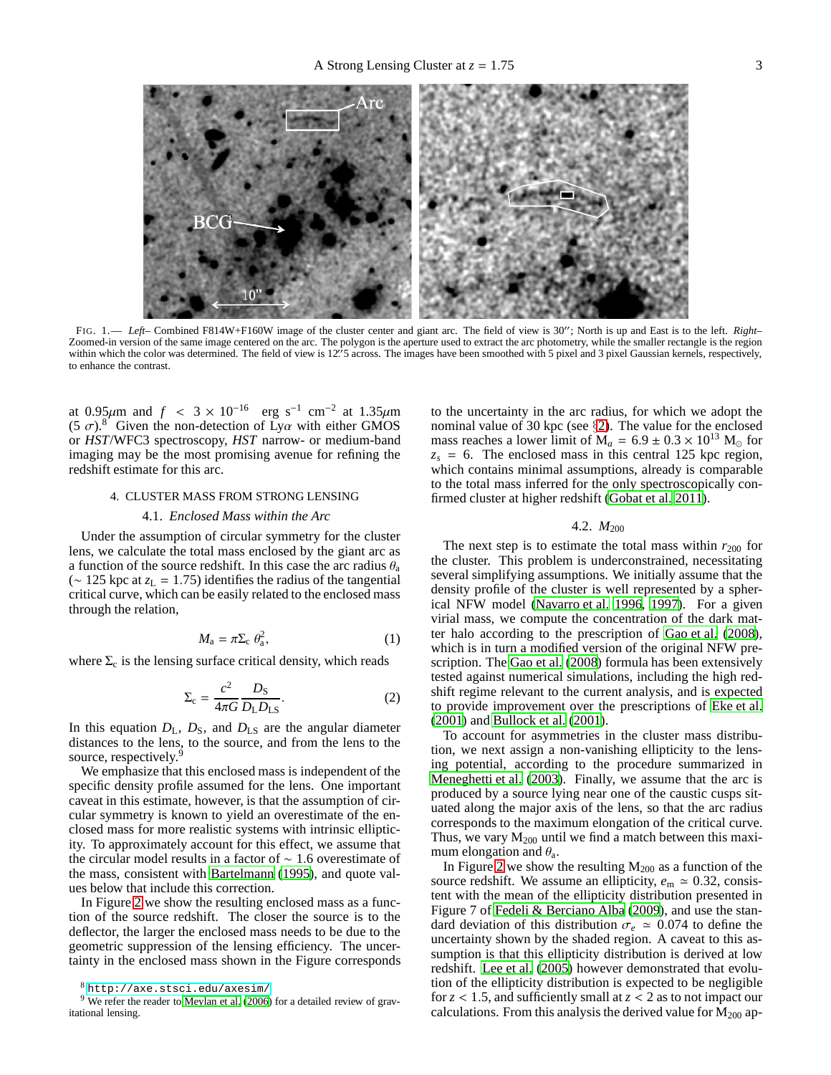

<span id="page-2-1"></span>FIG. 1.— *Left–* Combined F814W+F160W image of the cluster center and giant arc. The field of view is 30′′; North is up and East is to the left. *Right–* Zoomed-in version of the same image centered on the arc. The polygon is the aperture used to extract the arc photometry, while the smaller rectangle is the region within which the color was determined. The field of view is 12.5 across. The images have been smoothed with 5 pixel and 3 pixel Gaussian kernels, respectively, to enhance the contrast.

at 0.95 $\mu$ m and  $f \leq 3 \times 10^{-16}$  erg s<sup>-1</sup> cm<sup>-2</sup> at 1.35 $\mu$ m (5  $\sigma$ ).<sup>8</sup> Given the non-detection of Ly $\alpha$  with either GMOS or *HST*/WFC3 spectroscopy, *HST* narrow- or medium-band imaging may be the most promising avenue for refining the redshift estimate for this arc.

### <span id="page-2-0"></span>4. CLUSTER MASS FROM STRONG LENSING

#### 4.1. *Enclosed Mass within the Arc*

Under the assumption of circular symmetry for the cluster lens, we calculate the total mass enclosed by the giant arc as a function of the source redshift. In this case the arc radius  $\theta_a$  $\sim$  125 kpc at  $z_L$  = 1.75) identifies the radius of the tangential critical curve, which can be easily related to the enclosed mass through the relation,

$$
M_a = \pi \Sigma_c \; \theta_a^2,\tag{1}
$$

where  $\Sigma_c$  is the lensing surface critical density, which reads

$$
\Sigma_{\rm c} = \frac{c^2}{4\pi G} \frac{D_{\rm S}}{D_{\rm L} D_{\rm LS}}.\tag{2}
$$

In this equation  $D_L$ ,  $D_S$ , and  $D_{LS}$  are the angular diameter distances to the lens, to the source, and from the lens to the source, respectively.

We emphasize that this enclosed mass is independent of the specific density profile assumed for the lens. One important caveat in this estimate, however, is that the assumption of circular symmetry is known to yield an overestimate of the enclosed mass for more realistic systems with intrinsic ellipticity. To approximately account for this effect, we assume that the circular model results in a factor of ∼ 1.6 overestimate of the mass, consistent with [Bartelmann \(1995](#page-5-5)), and quote values below that include this correction.

In Figure [2](#page-3-1) we show the resulting enclosed mass as a function of the source redshift. The closer the source is to the deflector, the larger the enclosed mass needs to be due to the geometric suppression of the lensing efficiency. The uncertainty in the enclosed mass shown in the Figure corresponds to the uncertainty in the arc radius, for which we adopt the nominal value of 30 kpc (see §[2\)](#page-1-0). The value for the enclosed mass reaches a lower limit of  $M_a = 6.9 \pm 0.3 \times 10^{13}$  M<sub>o</sub> for  $z_s = 6$ . The enclosed mass in this central 125 kpc region, which contains minimal assumptions, already is comparable to the total mass inferred for the only spectroscopically confirmed cluster at higher redshift [\(Gobat et al. 2011\)](#page-6-10).

# 4.2. *M*<sup>200</sup>

<span id="page-2-2"></span>The next step is to estimate the total mass within  $r_{200}$  for the cluster. This problem is underconstrained, necessitating several simplifying assumptions. We initially assume that the density profile of the cluster is well represented by a spherical NFW model [\(Navarro et al. 1996](#page-6-19), [1997\)](#page-6-20). For a given virial mass, we compute the concentration of the dark matter halo according to the prescription of [Gao et al. \(2008](#page-6-21)), which is in turn a modified version of the original NFW prescription. The [Gao et al. \(2008\)](#page-6-21) formula has been extensively tested against numerical simulations, including the high redshift regime relevant to the current analysis, and is expected to provide improvement over the prescriptions of [Eke et al.](#page-6-22) [\(2001\)](#page-6-22) and [Bullock et al.](#page-6-23) [\(2001\)](#page-6-23).

To account for asymmetries in the cluster mass distribution, we next assign a non-vanishing ellipticity to the lensing potential, according to the procedure summarized in [Meneghetti et al.](#page-6-24) [\(2003\)](#page-6-24). Finally, we assume that the arc is produced by a source lying near one of the caustic cusps situated along the major axis of the lens, so that the arc radius corresponds to the maximum elongation of the critical curve. Thus, we vary  $M_{200}$  until we find a match between this maximum elongation and  $\theta_a$ .

In Figure [2](#page-3-1) we show the resulting  $M<sub>200</sub>$  as a function of the source redshift. We assume an ellipticity,  $e_m \approx 0.32$ , consistent with the mean of the ellipticity distribution presented in Figure 7 of [Fedeli & Berciano Alba \(2009](#page-6-25)), and use the standard deviation of this distribution  $\sigma_e \approx 0.074$  to define the uncertainty shown by the shaded region. A caveat to this assumption is that this ellipticity distribution is derived at low redshift. [Lee et al. \(2005\)](#page-6-26) however demonstrated that evolution of the ellipticity distribution is expected to be negligible for *z* < 1.5, and sufficiently small at *z* < 2 as to not impact our calculations. From this analysis the derived value for  $M_{200}$  ap-

<sup>8</sup> <http://axe.stsci.edu/axesim/>

<sup>&</sup>lt;sup>9</sup> We refer the reader to [Meylan et al. \(2006\)](#page-6-18) for a detailed review of gravitational lensing.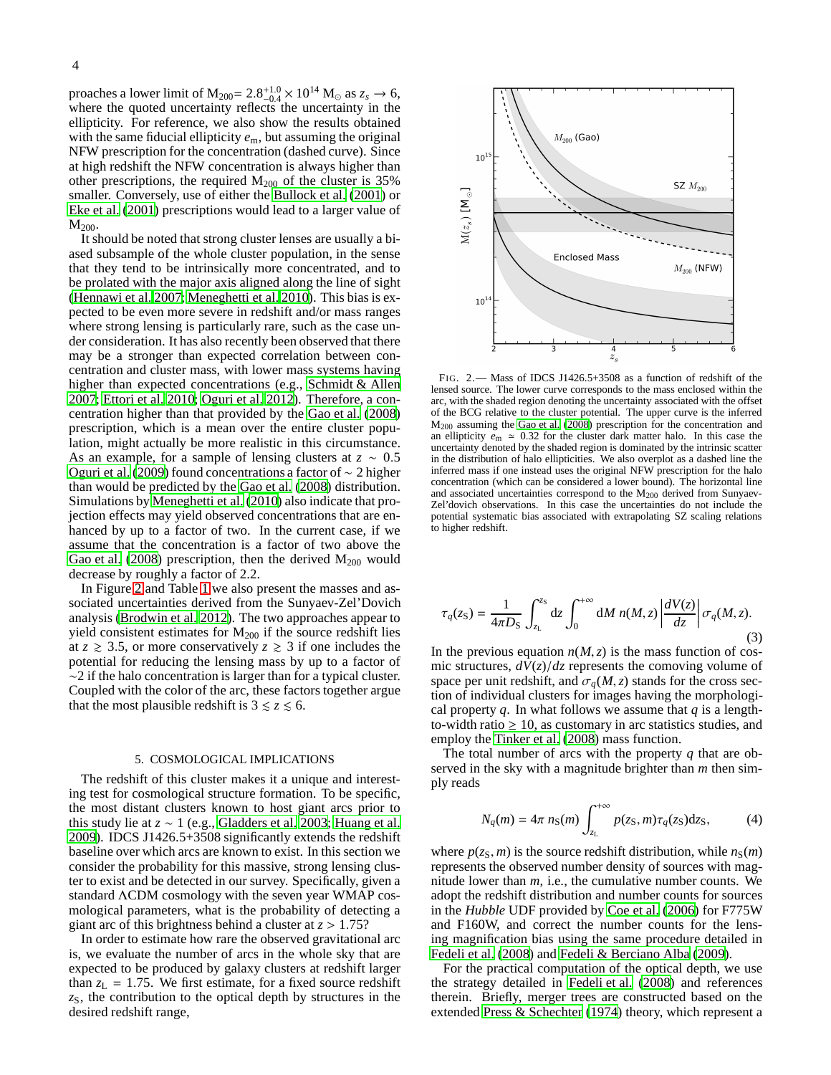proaches a lower limit of  $M_{200} = 2.8^{+1.0}_{-0.4} \times 10^{14} M_{\odot}$  as  $z_s \to 6$ , where the quoted uncertainty reflects the uncertainty in the ellipticity. For reference, we also show the results obtained with the same fiducial ellipticity  $e<sub>m</sub>$ , but assuming the original NFW prescription for the concentration (dashed curve). Since at high redshift the NFW concentration is always higher than other prescriptions, the required  $M<sub>200</sub>$  of the cluster is 35% smaller. Conversely, use of either the [Bullock et al. \(2001\)](#page-6-23) or [Eke et al.](#page-6-22) [\(2001\)](#page-6-22) prescriptions would lead to a larger value of  $M_{200}$ .

It should be noted that strong cluster lenses are usually a biased subsample of the whole cluster population, in the sense that they tend to be intrinsically more concentrated, and to be prolated with the major axis aligned along the line of sight [\(Hennawi et al. 2007;](#page-6-27) [Meneghetti et al. 2010\)](#page-6-28). This bias is expected to be even more severe in redshift and/or mass ranges where strong lensing is particularly rare, such as the case under consideration. It has also recently been observed that there may be a stronger than expected correlation between concentration and cluster mass, with lower mass systems having higher than expected concentrations (e.g., [Schmidt & Allen](#page-6-29) [2007;](#page-6-29) [Ettori et al. 2010;](#page-6-30) [Oguri et al. 2012\)](#page-6-31). Therefore, a concentration higher than that provided by the [Gao et al. \(2008\)](#page-6-21) prescription, which is a mean over the entire cluster population, might actually be more realistic in this circumstance. As an example, for a sample of lensing clusters at *z* ∼ 0.5 [Oguri et al. \(2009](#page-6-32)) found concentrations a factor of ∼ 2 higher than would be predicted by the [Gao et al. \(2008\)](#page-6-21) distribution. Simulations by [Meneghetti et al.](#page-6-28) [\(2010\)](#page-6-28) also indicate that projection effects may yield observed concentrations that are enhanced by up to a factor of two. In the current case, if we assume that the concentration is a factor of two above the [Gao et al. \(2008](#page-6-21)) prescription, then the derived  $M<sub>200</sub>$  would decrease by roughly a factor of 2.2.

In Figure [2](#page-3-1) and Table [1](#page-5-6) we also present the masses and associated uncertainties derived from the Sunyaev-Zel'Dovich analysis [\(Brodwin et al. 2012\)](#page-5-1). The two approaches appear to yield consistent estimates for  $M<sub>200</sub>$  if the source redshift lies at  $z \geq 3.5$ , or more conservatively  $z \geq 3$  if one includes the potential for reducing the lensing mass by up to a factor of ∼2 if the halo concentration is larger than for a typical cluster. Coupled with the color of the arc, these factors together argue that the most plausible redshift is  $3 \le z \le 6$ .

### 5. COSMOLOGICAL IMPLICATIONS

<span id="page-3-0"></span>The redshift of this cluster makes it a unique and interesting test for cosmological structure formation. To be specific, the most distant clusters known to host giant arcs prior to this study lie at *z* ∼ 1 (e.g., [Gladders et al. 2003;](#page-6-33) [Huang et al.](#page-6-34) [2009\)](#page-6-34). IDCS J1426.5+3508 significantly extends the redshift baseline over which arcs are known to exist. In this section we consider the probability for this massive, strong lensing cluster to exist and be detected in our survey. Specifically, given a standard ΛCDM cosmology with the seven year WMAP cosmological parameters, what is the probability of detecting a giant arc of this brightness behind a cluster at  $z > 1.75$ ?

In order to estimate how rare the observed gravitational arc is, we evaluate the number of arcs in the whole sky that are expected to be produced by galaxy clusters at redshift larger than  $z_L = 1.75$ . We first estimate, for a fixed source redshift  $z<sub>S</sub>$ , the contribution to the optical depth by structures in the desired redshift range,



<span id="page-3-1"></span>FIG. 2.— Mass of IDCS J1426.5+3508 as a function of redshift of the lensed source. The lower curve corresponds to the mass enclosed within the arc, with the shaded region denoting the uncertainty associated with the offset of the BCG relative to the cluster potential. The upper curve is the inferred M<sup>200</sup> assuming the [Gao et al. \(2008\)](#page-6-21) prescription for the concentration and an ellipticity  $e_m \approx 0.32$  for the cluster dark matter halo. In this case the uncertainty denoted by the shaded region is dominated by the intrinsic scatter in the distribution of halo ellipticities. We also overplot as a dashed line the inferred mass if one instead uses the original NFW prescription for the halo concentration (which can be considered a lower bound). The horizontal line and associated uncertainties correspond to the  $M<sub>200</sub>$  derived from Sunyaev-Zel'dovich observations. In this case the uncertainties do not include the potential systematic bias associated with extrapolating SZ scaling relations to higher redshift.

$$
\tau_q(z_S) = \frac{1}{4\pi D_S} \int_{z_L}^{z_S} dz \int_0^{+\infty} dM \, n(M, z) \left| \frac{dV(z)}{dz} \right| \sigma_q(M, z). \tag{3}
$$

In the previous equation  $n(M, z)$  is the mass function of cosmic structures,  $dV(z)/dz$  represents the comoving volume of space per unit redshift, and  $\sigma_q(M, z)$  stands for the cross section of individual clusters for images having the morphological property  $q$ . In what follows we assume that  $q$  is a lengthto-width ratio  $\geq 10$ , as customary in arc statistics studies, and employ the [Tinker et al. \(2008](#page-6-35)) mass function.

The total number of arcs with the property *q* that are observed in the sky with a magnitude brighter than *m* then simply reads

<span id="page-3-2"></span>
$$
N_q(m) = 4\pi n_S(m) \int_{z_L}^{+\infty} p(z_S, m)\tau_q(z_S)dz_S,
$$
 (4)

where  $p(z_S, m)$  is the source redshift distribution, while  $n_S(m)$ represents the observed number density of sources with magnitude lower than *m*, i.e., the cumulative number counts. We adopt the redshift distribution and number counts for sources in the *Hubble* UDF provided by [Coe et al. \(2006\)](#page-6-36) for F775W and F160W, and correct the number counts for the lensing magnification bias using the same procedure detailed in [Fedeli et al. \(2008](#page-6-37)) and [Fedeli & Berciano Alba \(2009\)](#page-6-25).

For the practical computation of the optical depth, we use the strategy detailed in [Fedeli et al. \(2008\)](#page-6-37) and references therein. Briefly, merger trees are constructed based on the extended [Press & Schechter \(1974](#page-6-38)) theory, which represent a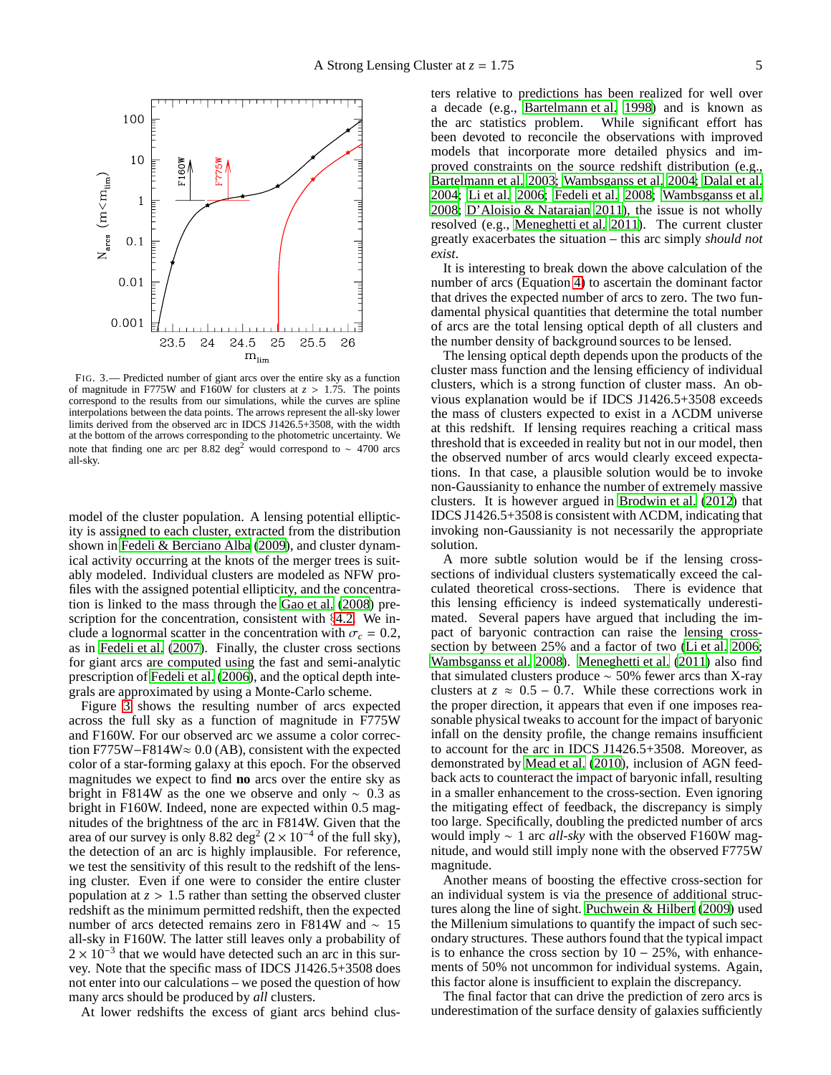

<span id="page-4-0"></span>FIG. 3.— Predicted number of giant arcs over the entire sky as a function of magnitude in F775W and F160W for clusters at  $z > 1.75$ . The points correspond to the results from our simulations, while the curves are spline interpolations between the data points. The arrows represent the all-sky lower limits derived from the observed arc in IDCS J1426.5+3508, with the width at the bottom of the arrows corresponding to the photometric uncertainty. We note that finding one arc per 8.82 deg<sup>2</sup> would correspond to  $\sim$  4700 arcs all-sky.

model of the cluster population. A lensing potential ellipticity is assigned to each cluster, extracted from the distribution shown in [Fedeli & Berciano Alba](#page-6-25) [\(2009\)](#page-6-25), and cluster dynamical activity occurring at the knots of the merger trees is suitably modeled. Individual clusters are modeled as NFW profiles with the assigned potential ellipticity, and the concentration is linked to the mass through the [Gao et al. \(2008\)](#page-6-21) prescription for the concentration, consistent with §[4.2.](#page-2-2) We include a lognormal scatter in the concentration with  $\sigma_c = 0.2$ , as in [Fedeli et al. \(2007\)](#page-6-39). Finally, the cluster cross sections for giant arcs are computed using the fast and semi-analytic prescription of [Fedeli et al.](#page-6-40) [\(2006\)](#page-6-40), and the optical depth integrals are approximated by using a Monte-Carlo scheme.

Figure [3](#page-4-0) shows the resulting number of arcs expected across the full sky as a function of magnitude in F775W and F160W. For our observed arc we assume a color correction F775W−F814W≈ 0.0 (AB), consistent with the expected color of a star-forming galaxy at this epoch. For the observed magnitudes we expect to find **no** arcs over the entire sky as bright in F814W as the one we observe and only  $\sim 0.3$  as bright in F160W. Indeed, none are expected within 0.5 magnitudes of the brightness of the arc in F814W. Given that the area of our survey is only 8.82 deg<sup>2</sup> (2 × 10<sup>-4</sup> of the full sky), the detection of an arc is highly implausible. For reference, we test the sensitivity of this result to the redshift of the lensing cluster. Even if one were to consider the entire cluster population at  $z > 1.5$  rather than setting the observed cluster redshift as the minimum permitted redshift, then the expected number of arcs detected remains zero in F814W and ∼ 15 all-sky in F160W. The latter still leaves only a probability of  $2 \times 10^{-3}$  that we would have detected such an arc in this survey. Note that the specific mass of IDCS J1426.5+3508 does not enter into our calculations – we posed the question of how many arcs should be produced by *all* clusters.

At lower redshifts the excess of giant arcs behind clus-

ters relative to predictions has been realized for well over a decade (e.g., [Bartelmann et al. 1998](#page-5-7)) and is known as the arc statistics problem. While significant effort has been devoted to reconcile the observations with improved models that incorporate more detailed physics and improved constraints on the source redshift distribution (e.g., [Bartelmann et al. 2003](#page-5-8); [Wambsganss et al. 2004;](#page-6-41) [Dalal et al.](#page-6-42) [2004;](#page-6-42) [Li et al. 2006](#page-6-43); [Fedeli et al. 2008;](#page-6-37) [Wambsganss et al.](#page-6-44) [2008;](#page-6-44) [D'Aloisio & Natarajan 2011\)](#page-6-45), the issue is not wholly resolved (e.g., [Meneghetti et al. 2011\)](#page-6-46). The current cluster greatly exacerbates the situation – this arc simply *should not exist*.

It is interesting to break down the above calculation of the number of arcs (Equation [4\)](#page-3-2) to ascertain the dominant factor that drives the expected number of arcs to zero. The two fundamental physical quantities that determine the total number of arcs are the total lensing optical depth of all clusters and the number density of background sources to be lensed.

The lensing optical depth depends upon the products of the cluster mass function and the lensing efficiency of individual clusters, which is a strong function of cluster mass. An obvious explanation would be if IDCS J1426.5+3508 exceeds the mass of clusters expected to exist in a ΛCDM universe at this redshift. If lensing requires reaching a critical mass threshold that is exceeded in reality but not in our model, then the observed number of arcs would clearly exceed expectations. In that case, a plausible solution would be to invoke non-Gaussianity to enhance the number of extremely massive clusters. It is however argued in [Brodwin et al. \(2012\)](#page-5-1) that IDCS J1426.5+3508 is consistent with ΛCDM, indicating that invoking non-Gaussianity is not necessarily the appropriate solution.

A more subtle solution would be if the lensing crosssections of individual clusters systematically exceed the calculated theoretical cross-sections. There is evidence that this lensing efficiency is indeed systematically underestimated. Several papers have argued that including the impact of baryonic contraction can raise the lensing crosssection by between 25% and a factor of two [\(Li et al. 2006](#page-6-43); [Wambsganss et al. 2008\)](#page-6-44). [Meneghetti et al. \(2011](#page-6-46)) also find that simulated clusters produce  $\sim$  50% fewer arcs than X-ray clusters at  $z \approx 0.5 - 0.7$ . While these corrections work in the proper direction, it appears that even if one imposes reasonable physical tweaks to account for the impact of baryonic infall on the density profile, the change remains insufficient to account for the arc in IDCS J1426.5+3508. Moreover, as demonstrated by [Mead et al. \(2010\)](#page-6-47), inclusion of AGN feedback acts to counteract the impact of baryonic infall, resulting in a smaller enhancement to the cross-section. Even ignoring the mitigating effect of feedback, the discrepancy is simply too large. Specifically, doubling the predicted number of arcs would imply ∼ 1 arc *all-sky* with the observed F160W magnitude, and would still imply none with the observed F775W magnitude.

Another means of boosting the effective cross-section for an individual system is via the presence of additional structures along the line of sight. [Puchwein & Hilbert \(2009\)](#page-6-48) used the Millenium simulations to quantify the impact of such secondary structures. These authors found that the typical impact is to enhance the cross section by  $10 - 25\%$ , with enhancements of 50% not uncommon for individual systems. Again, this factor alone is insufficient to explain the discrepancy.

The final factor that can drive the prediction of zero arcs is underestimation of the surface density of galaxies sufficiently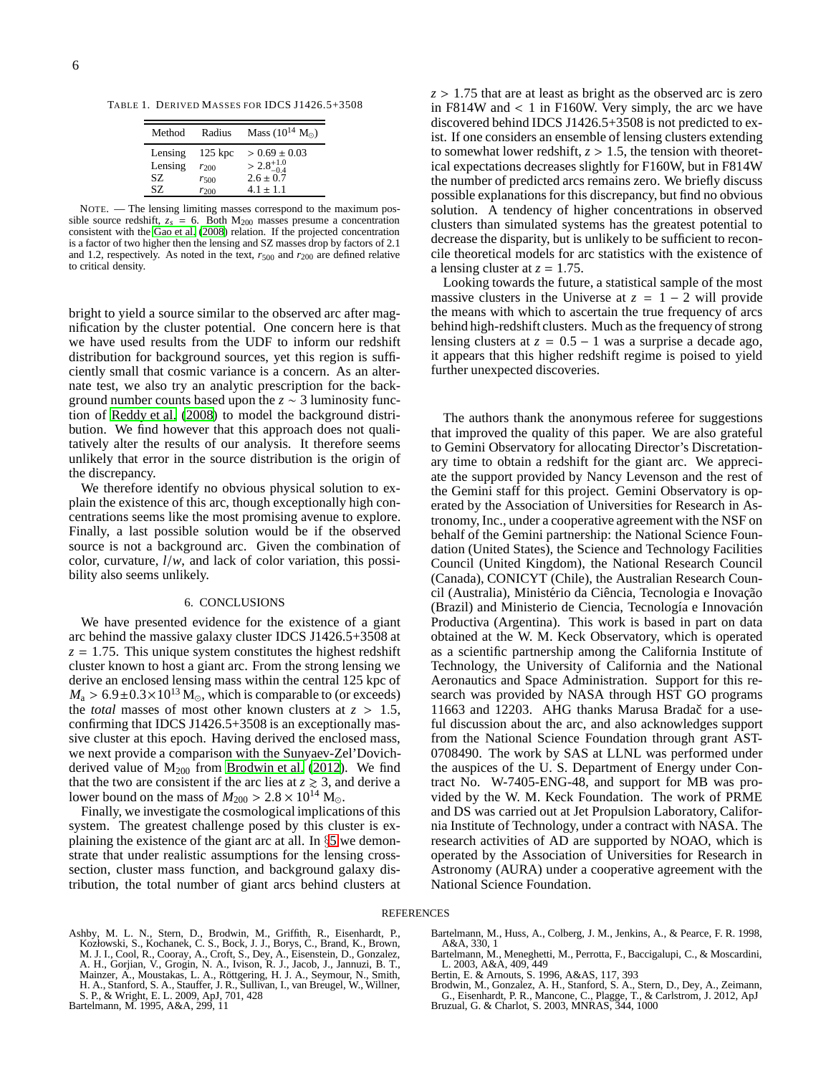<span id="page-5-6"></span>TABLE 1. DERIVED MASSES FOR IDCS J1426.5+3508

| Method  | Radius    | Mass ( $10^{14}$ M <sub>o</sub> )  |
|---------|-----------|------------------------------------|
| Lensing | $125$ kpc | $> 0.69 \pm 0.03$                  |
| Lensing | $r_{200}$ | $> 2.8^{+1.0}_{-0.4}$<br>2.6 ± 0.7 |
| SZ.     | $r_{500}$ |                                    |
| SZ.     | $r_{200}$ | $41 + 11$                          |

NOTE. — The lensing limiting masses correspond to the maximum possible source redshift,  $z_s = 6$ . Both  $M_{200}$  masses presume a concentration consistent with the [Gao et al. \(2008](#page-6-21)) relation. If the projected concentration is a factor of two higher then the lensing and SZ masses drop by factors of 2.1 and 1.2, respectively. As noted in the text,  $r_{500}$  and  $r_{200}$  are defined relative to critical density.

bright to yield a source similar to the observed arc after magnification by the cluster potential. One concern here is that we have used results from the UDF to inform our redshift distribution for background sources, yet this region is sufficiently small that cosmic variance is a concern. As an alternate test, we also try an analytic prescription for the background number counts based upon the  $z \sim 3$  luminosity function of [Reddy et al. \(2008](#page-6-49)) to model the background distribution. We find however that this approach does not qualitatively alter the results of our analysis. It therefore seems unlikely that error in the source distribution is the origin of the discrepancy.

We therefore identify no obvious physical solution to explain the existence of this arc, though exceptionally high concentrations seems like the most promising avenue to explore. Finally, a last possible solution would be if the observed source is not a background arc. Given the combination of color, curvature, *l*/*w*, and lack of color variation, this possibility also seems unlikely.

# 6. CONCLUSIONS

<span id="page-5-2"></span>We have presented evidence for the existence of a giant arc behind the massive galaxy cluster IDCS J1426.5+3508 at  $z = 1.75$ . This unique system constitutes the highest redshift cluster known to host a giant arc. From the strong lensing we derive an enclosed lensing mass within the central 125 kpc of  $M_a > 6.9 \pm 0.3 \times 10^{13}$  M<sub>o</sub>, which is comparable to (or exceeds) the *total* masses of most other known clusters at *z* > 1.5, confirming that IDCS J1426.5+3508 is an exceptionally massive cluster at this epoch. Having derived the enclosed mass, we next provide a comparison with the Sunyaev-Zel'Dovichderived value of  $M<sub>200</sub>$  from [Brodwin et al.](#page-5-1) [\(2012\)](#page-5-1). We find that the two are consistent if the arc lies at  $z \geq 3$ , and derive a lower bound on the mass of  $M_{200} > 2.8 \times 10^{14}$  M<sub>☉</sub>.

Finally, we investigate the cosmological implications of this system. The greatest challenge posed by this cluster is explaining the existence of the giant arc at all. In §[5](#page-3-0) we demonstrate that under realistic assumptions for the lensing crosssection, cluster mass function, and background galaxy distribution, the total number of giant arcs behind clusters at *z* > 1.75 that are at least as bright as the observed arc is zero in F814W and  $< 1$  in F160W. Very simply, the arc we have discovered behind IDCS J1426.5+3508 is not predicted to exist. If one considers an ensemble of lensing clusters extending to somewhat lower redshift,  $z > 1.5$ , the tension with theoretical expectations decreases slightly for F160W, but in F814W the number of predicted arcs remains zero. We briefly discuss possible explanations for this discrepancy, but find no obvious solution. A tendency of higher concentrations in observed clusters than simulated systems has the greatest potential to decrease the disparity, but is unlikely to be sufficient to reconcile theoretical models for arc statistics with the existence of a lensing cluster at  $z = 1.75$ .

Looking towards the future, a statistical sample of the most massive clusters in the Universe at  $z = 1 - 2$  will provide the means with which to ascertain the true frequency of arcs behind high-redshift clusters. Much as the frequency of strong lensing clusters at  $z = 0.5 - 1$  was a surprise a decade ago, it appears that this higher redshift regime is poised to yield further unexpected discoveries.

The authors thank the anonymous referee for suggestions that improved the quality of this paper. We are also grateful to Gemini Observatory for allocating Director's Discretationary time to obtain a redshift for the giant arc. We appreciate the support provided by Nancy Levenson and the rest of the Gemini staff for this project. Gemini Observatory is operated by the Association of Universities for Research in Astronomy, Inc., under a cooperative agreement with the NSF on behalf of the Gemini partnership: the National Science Foundation (United States), the Science and Technology Facilities Council (United Kingdom), the National Research Council (Canada), CONICYT (Chile), the Australian Research Council (Australia), Ministério da Ciência, Tecnologia e Inovação (Brazil) and Ministerio de Ciencia, Tecnología e Innovación Productiva (Argentina). This work is based in part on data obtained at the W. M. Keck Observatory, which is operated as a scientific partnership among the California Institute of Technology, the University of California and the National Aeronautics and Space Administration. Support for this research was provided by NASA through HST GO programs 11663 and 12203. AHG thanks Marusa Bradač for a useful discussion about the arc, and also acknowledges support from the National Science Foundation through grant AST-0708490. The work by SAS at LLNL was performed under the auspices of the U. S. Department of Energy under Contract No. W-7405-ENG-48, and support for MB was provided by the W. M. Keck Foundation. The work of PRME and DS was carried out at Jet Propulsion Laboratory, California Institute of Technology, under a contract with NASA. The research activities of AD are supported by NOAO, which is operated by the Association of Universities for Research in Astronomy (AURA) under a cooperative agreement with the National Science Foundation.

#### **REFERENCES**

<span id="page-5-0"></span>Ashby, M. L. N., Stern, D., Brodwin, M., Griffith, R., Eisenhardt, P., Kozłowski, S., Kochanek, C. S., Bock, J. J., Borys, C., Brand, K., Brown, M. J. I., Cool, R., Cooray, A., Croft, S., Dey, A., Eisenstein, D., Gonzalez,<br>A. H., Gorjian, V., Grogin, N. A., Ivison, R. J., Jacob, J., Jannuzi, B. T.,<br>Mainzer, A., Moustakas, L. A., Röttgering, H. J. A., Seymour, N., S S. P., & Wright, E. L. 2009, ApJ, 701, 428

<span id="page-5-5"></span>Bartelmann, M. 1995, A&A, 299, 11

- <span id="page-5-7"></span>Bartelmann, M., Huss, A., Colberg, J. M., Jenkins, A., & Pearce, F. R. 1998, A&A, 330, 1
- <span id="page-5-8"></span>Bartelmann, M., Meneghetti, M., Perrotta, F., Baccigalupi, C., & Moscardini, L. 2003, A&A, 409, 449
- Bertin, E. & Arnouts, S. 1996, A&AS, 117, 393
- <span id="page-5-4"></span><span id="page-5-3"></span><span id="page-5-1"></span>Brodwin, M., Gonzalez, A. H., Stanford, S. A., Stern, D., Dey, A., Zeimann, G., Eisenhardt, P. R., Mancone, C., Plagge, T., & Carlstrom, J. 2012, ApJ Bruzual, G. & Charlot, S. 2003, MNRAS, 344, 1000